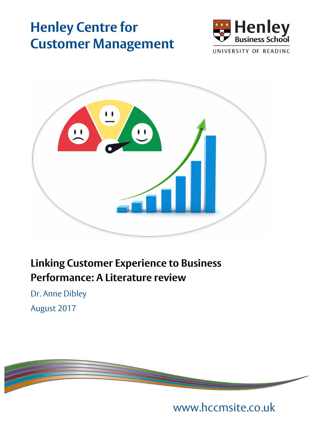# **Henley Centre for Customer Management**





## **Linking Customer Experience to Business Performance: A Literature review**

Dr. Anne Dibley August 2017



www.hccmsite.co.uk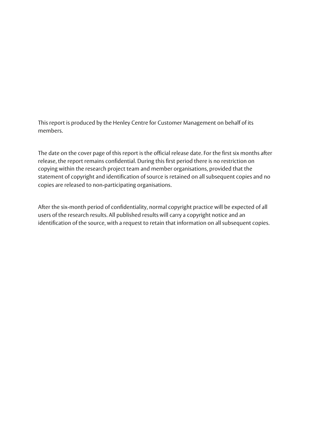This report is produced by the Henley Centre for Customer Management on behalf of its members.

The date on the cover page of this report is the official release date. For the first six months after release, the report remains confidential. During this first period there is no restriction on copying within the research project team and member organisations, provided that the statement of copyright and identification of source is retained on all subsequent copies and no copies are released to non-participating organisations.

After the six-month period of confidentiality, normal copyright practice will be expected of all users of the research results. All published results will carry a copyright notice and an identification of the source, with a request to retain that information on all subsequent copies.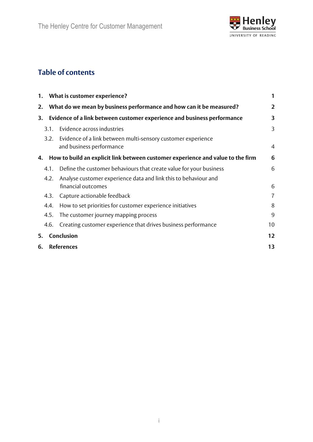

## **Table of contents**

|    |                   | 1. What is customer experience?                                                          | 1              |
|----|-------------------|------------------------------------------------------------------------------------------|----------------|
| 2. |                   | What do we mean by business performance and how can it be measured?                      | 2              |
| 3. |                   | Evidence of a link between customer experience and business performance                  | 3              |
|    | 3.1.              | Evidence across industries                                                               | 3              |
|    | 3.2.              | Evidence of a link between multi-sensory customer experience<br>and business performance | $\overline{4}$ |
| 4. |                   | How to build an explicit link between customer experience and value to the firm          | 6              |
|    | 4.1.              | Define the customer behaviours that create value for your business                       | 6              |
|    | 4.2.              | Analyse customer experience data and link this to behaviour and<br>financial outcomes    | 6              |
|    | 4.3.              | Capture actionable feedback                                                              | 7              |
|    | 4.4.              | How to set priorities for customer experience initiatives                                | 8              |
|    | 4.5.              | The customer journey mapping process                                                     | 9              |
|    | 4.6.              | Creating customer experience that drives business performance                            | 10             |
| 5. |                   | Conclusion                                                                               | 12             |
| 6. | <b>References</b> |                                                                                          |                |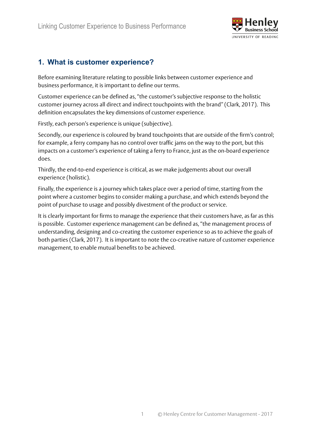

### **1. What is customer experience?**

Before examining literature relating to possible links between customer experience and business performance, it is important to define our terms.

Customer experience can be defined as, "the customer's subjective response to the holistic customer journey across all direct and indirect touchpoints with the brand" (Clark, 2017). This definition encapsulates the key dimensions of customer experience.

Firstly, each person's experience is unique (subjective).

Secondly, our experience is coloured by brand touchpoints that are outside of the firm's control; for example, a ferry company has no control over traffic jams on the way to the port, but this impacts on a customer's experience of taking a ferry to France, just as the on-board experience does.

Thirdly, the end-to-end experience is critical, as we make judgements about our overall experience (holistic).

Finally, the experience is a journey which takes place over a period of time, starting from the point where a customer begins to consider making a purchase, and which extends beyond the point of purchase to usage and possibly divestment of the product or service.

It is clearly important for firms to manage the experience that their customers have, as far as this is possible. Customer experience management can be defined as, "the management process of understanding, designing and co-creating the customer experience so as to achieve the goals of both parties (Clark, 2017). It is important to note the co-creative nature of customer experience management, to enable mutual benefits to be achieved.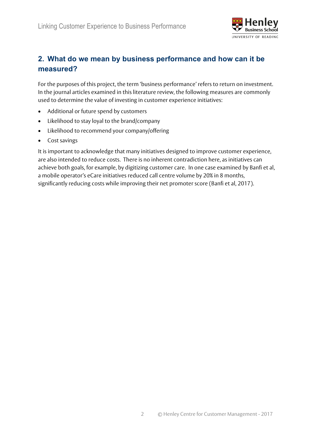

## **2. What do we mean by business performance and how can it be measured?**

For the purposes of this project, the term 'business performance' refers to return on investment. In the journal articles examined in this literature review, the following measures are commonly used to determine the value of investing in customer experience initiatives:

- Additional or future spend by customers
- Likelihood to stay loyal to the brand/company
- Likelihood to recommend your company/offering
- Cost savings

It is important to acknowledge that many initiatives designed to improve customer experience, are also intended to reduce costs. There is no inherent contradiction here, as initiatives can achieve both goals, for example, by digitizing customer care. In one case examined by Banfi et al, a mobile operator's eCare initiatives reduced call centre volume by 20% in 8 months, significantly reducing costs while improving their net promoter score (Banfi et al, 2017).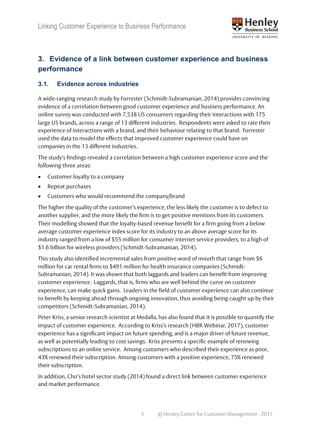

## **3. Evidence of a link between customer experience and business performance**

#### **3.1. Evidence across industries**

A wide-ranging research study by Forrester (Schmidt-Subramanian, 2014) provides convincing evidence of a correlation between good customer experience and business performance. An online survey was conducted with 7,538 US consumers regarding their interactions with 175 large US brands, across a range of 13 different industries. Respondents were asked to rate their experience of interactions with a brand, and their behaviour relating to that brand. Forrester used the data to model the effects that improved customer experience could have on companies in the 13 different industries.

The study's findings revealed a correlation between a high customer experience score and the following three areas:

- Customer loyalty to a company
- Repeat purchases
- Customers who would recommend the company/brand

The higher the quality of the customer's experience, the less likely the customer is to defect to another supplier, and the more likely the firm is to get positive mentions from its customers. Their modelling showed that the loyalty-based revenue benefit for a firm going from a below average customer experience index score for its industry to an above average score for its industry ranged from a low of \$55 million for consumer internet service providers, to a high of \$1.6 billion for wireless providers (Schmidt-Subramanian, 2014).

This study also identified incremental sales from positive word of mouth that range from \$6 million for car rental firms to \$491 million for health insurance companies (Schmidt-Subramanian, 2014). It was shown that both laggards and leaders can benefit from improving customer experience. Laggards, that is, firms who are well behind the curve on customer experience, can make quick gains. Leaders in the field of customer experience can also continue to benefit by keeping ahead through ongoing innovation, thus avoiding being caught up by their competitors (Schmidt-Subramanian, 2014).

Peter Kriss, a senior research scientist at Medalla, has also found that it is possible to quantify the impact of customer experience. According to Kriss's research (HBR Webinar, 2017), customer experience has a significant impact on future spending, and is a major driver of future revenue, as well as potentially leading to cost savings. Kriss presents a specific example of renewing subscriptions to an online service. Among customers who described their experience as poor, 43% renewed their subscription. Among customers with a positive experience, 75% renewed their subscription.

In addition, Cho's hotel sector study (2014) found a direct link between customer experience and market performance.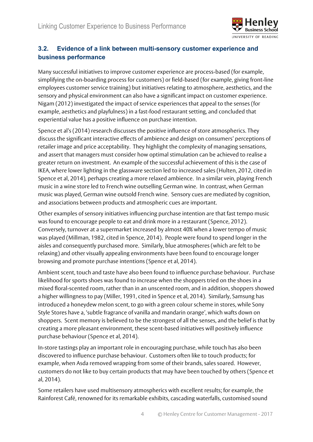

#### **3.2. Evidence of a link between multi-sensory customer experience and business performance**

Many successful initiatives to improve customer experience are process-based (for example, simplifying the on-boarding process for customers) or field-based (for example, giving front-line employees customer service training) but initiatives relating to atmosphere, aesthetics, and the sensory and physical environment can also have a significant impact on customer experience. Nigam (2012) investigated the impact of service experiences that appeal to the senses (for example, aesthetics and playfulness) in a fast-food restaurant setting, and concluded that experiential value has a positive influence on purchase intention.

Spence et al's (2014) research discusses the positive influence of store atmospherics. They discuss the significant interactive effects of ambience and design on consumers' perceptions of retailer image and price acceptability. They highlight the complexity of managing sensations, and assert that managers must consider how optimal stimulation can be achieved to realise a greater return on investment. An example of the successful achievement of this is the case of IKEA, where lower lighting in the glassware section led to increased sales (Hulten, 2012, cited in Spence et al, 2014), perhaps creating a more relaxed ambience. In a similar vein, playing French music in a wine store led to French wine outselling German wine. In contrast, when German music was played, German wine outsold French wine. Sensory cues are mediated by cognition, and associations between products and atmospheric cues are important.

Other examples of sensory initiatives influencing purchase intention are that fast tempo music was found to encourage people to eat and drink more in a restaurant (Spence, 2012). Conversely, turnover at a supermarket increased by almost 40% when a lower tempo of music was played (Millman, 1982, cited in Spence, 2014). People were found to spend longer in the aisles and consequently purchased more. Similarly, blue atmospheres (which are felt to be relaxing) and other visually appealing environments have been found to encourage longer browsing and promote purchase intentions (Spence et al, 2014).

Ambient scent, touch and taste have also been found to influence purchase behaviour. Purchase likelihood for sports shoes was found to increase when the shoppers tried on the shoes in a mixed floral-scented room, rather than in an unscented room, and in addition, shoppers showed a higher willingness to pay (Miller, 1991, cited in Spence et al, 2014). Similarly, Samsung has introduced a honeydew melon scent, to go with a green colour scheme in stores, while Sony Style Stores have a, 'subtle fragrance of vanilla and mandarin orange', which wafts down on shoppers. Scent memory is believed to be the strongest of all the senses, and the belief is that by creating a more pleasant environment, these scent-based initiatives will positively influence purchase behaviour (Spence et al, 2014).

In-store tastings play an important role in encouraging purchase, while touch has also been discovered to influence purchase behaviour. Customers often like to touch products; for example, when Asda removed wrapping from some of their brands, sales soared. However, customers do not like to buy certain products that may have been touched by others (Spence et al, 2014).

Some retailers have used multisensory atmospherics with excellent results; for example, the Rainforest Café, renowned for its remarkable exhibits, cascading waterfalls, customised sound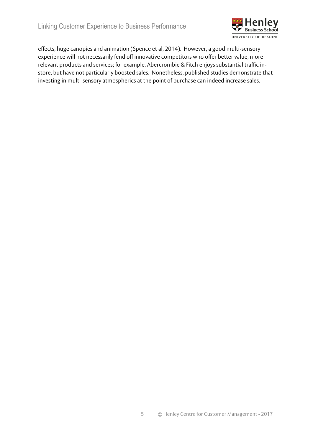

effects, huge canopies and animation (Spence et al, 2014). However, a good multi-sensory experience will not necessarily fend off innovative competitors who offer better value, more relevant products and services; for example, Abercrombie & Fitch enjoys substantial traffic instore, but have not particularly boosted sales. Nonetheless, published studies demonstrate that investing in multi-sensory atmospherics at the point of purchase can indeed increase sales.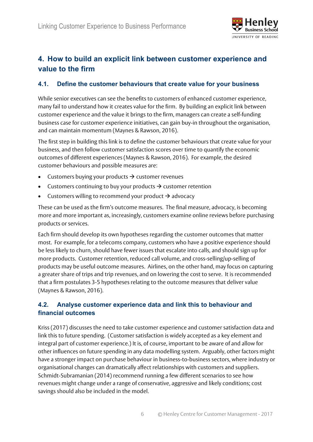

## **4. How to build an explicit link between customer experience and value to the firm**

#### **4.1. Define the customer behaviours that create value for your business**

While senior executives can see the benefits to customers of enhanced customer experience, many fail to understand how it creates value for the firm. By building an explicit link between customer experience and the value it brings to the firm, managers can create a self-funding business case for customer experience initiatives, can gain buy-in throughout the organisation, and can maintain momentum (Maynes & Rawson, 2016).

The first step in building this link is to define the customer behaviours that create value for your business, and then follow customer satisfaction scores over time to quantify the economic outcomes of different experiences (Maynes & Rawson, 2016). For example, the desired customer behaviours and possible measures are:

- Customers buying your products  $\rightarrow$  customer revenues
- Customers continuing to buy your products  $\rightarrow$  customer retention
- Customers willing to recommend your product  $\rightarrow$  advocacy

These can be used as the firm's outcome measures. The final measure, advocacy, is becoming more and more important as, increasingly, customers examine online reviews before purchasing products or services.

Each firm should develop its own hypotheses regarding the customer outcomes that matter most. For example, for a telecoms company, customers who have a positive experience should be less likely to churn, should have fewer issues that escalate into calls, and should sign up for more products. Customer retention, reduced call volume, and cross-selling/up-selling of products may be useful outcome measures. Airlines, on the other hand, may focus on capturing a greater share of trips and trip revenues, and on lowering the cost to serve. It is recommended that a firm postulates 3-5 hypotheses relating to the outcome measures that deliver value (Maynes & Rawson, 2016).

#### **4.2. Analyse customer experience data and link this to behaviour and financial outcomes**

Kriss (2017) discusses the need to take customer experience and customer satisfaction data and link this to future spending. (Customer satisfaction is widely accepted as a key element and integral part of customer experience.) It is, of course, important to be aware of and allow for other influences on future spending in any data modelling system. Arguably, other factors might have a stronger impact on purchase behaviour in business-to-business sectors, where industry or organisational changes can dramatically affect relationships with customers and suppliers. Schmidt-Subramanian (2014) recommend running a few different scenarios to see how revenues might change under a range of conservative, aggressive and likely conditions; cost savings should also be included in the model.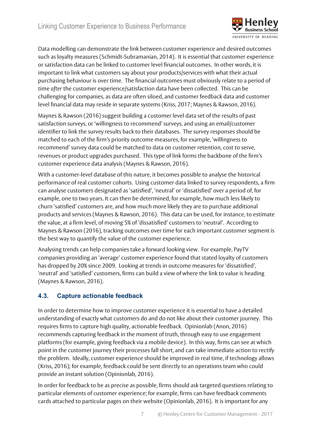

Data modelling can demonstrate the link between customer experience and desired outcomes such as loyalty measures (Schmidt-Subramanian, 2014). It is essential that customer experience or satisfaction data can be linked to customer level financial outcomes. In other words, it is important to link what customers say about your products/services with what their actual purchasing behaviour is over time. The financial outcomes must obviously relate to a period of time *after* the customer experience/satisfaction data have been collected. This can be challenging for companies, as data are often siloed, and customer feedback data and customer level financial data may reside in separate systems (Kriss, 2017; Maynes & Rawson, 2016).

Maynes & Rawson (2016) suggest building a customer level data set of the results of past satisfaction surveys, or 'willingness to recommend' surveys, and using an email/customer identifier to link the survey results back to their databases. The survey responses should be matched to each of the firm's priority outcome measures, for example, 'willingness to recommend' survey data could be matched to data on customer retention, cost to serve, revenues or product upgrades purchased. This type of link forms the backbone of the firm's customer experience data analysis (Maynes & Rawson, 2016).

With a customer-level database of this nature, it becomes possible to analyse the historical performance of real customer cohorts. Using customer data linked to survey respondents, a firm can analyse customers designated as 'satisfied', 'neutral' or 'dissatisfied' over a period of, for example, one to two years. It can then be determined, for example, how much less likely to churn 'satisfied' customers are, and how much more likely they are to purchase additional products and services (Maynes & Rawson, 2016). This data can be used, for instance, to estimate the value, at a firm level, of moving 5% of 'dissatisfied' customers to 'neutral'. According to Maynes & Rawson (2016), tracking outcomes over time for each important customer segment is the best way to quantify the value of the customer experience.

Analysing trends can help companies take a forward looking view. For example, PayTV companies providing an 'average' customer experience found that stated loyalty of customers has dropped by 20% since 2009. Looking at trends in outcome measures for 'dissatisfied', 'neutral' and 'satisfied' customers, firms can build a view of where the link to value is heading (Maynes & Rawson, 2016).

#### **4.3. Capture actionable feedback**

In order to determine how to improve customer experience it is essential to have a detailed understanding of exactly what customers do and do not like about their customer journey. This requires firms to capture high quality, actionable feedback. Opinionlab (Anon, 2016) recommends capturing feedback in the moment of truth, through easy to use engagement platforms (for example, giving feedback via a mobile device). In this way, firms can see at which point in the customer journey their processes fall short, and can take immediate action to rectify the problem. Ideally, customer experience should be improved in real time, if technology allows (Kriss, 2016); for example, feedback could be sent directly to an operations team who could provide an instant solution (Opinionlab, 2016).

In order for feedback to be as precise as possible, firms should ask targeted questions relating to particular elements of customer experience; for example, firms can have feedback comments cards attached to particular pages on their website (Opinionlab, 2016). It is important for any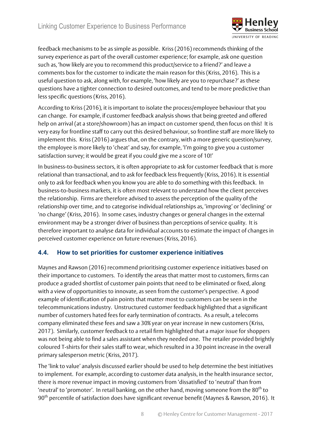

feedback mechanisms to be as simple as possible. Kriss (2016) recommends thinking of the survey experience as part of the overall customer experience; for example, ask one question such as, 'how likely are you to recommend this product/service to a friend?' and leave a comments box for the customer to indicate the main reason for this (Kriss, 2016). This is a useful question to ask, along with, for example, 'how likely are you to repurchase?' as these questions have a tighter connection to desired outcomes, and tend to be more predictive than less specific questions (Kriss, 2016).

According to Kriss (2016), it is important to isolate the process/employee behaviour that you can change. For example, if customer feedback analysis shows that being greeted and offered help on arrival (at a store/showroom) has an impact on customer spend, then focus on this! It is very easy for frontline staff to carry out this desired behaviour, so frontline staff are more likely to implement this. Kriss (2016) argues that, on the contrary, with a more generic question/survey, the employee is more likely to 'cheat' and say, for example, 'I'm going to give you a customer satisfaction survey; it would be great if you could give me a score of 10!'

In business-to-business sectors, it is often appropriate to ask for customer feedback that is more relational than transactional, and to ask for feedback less frequently (Kriss, 2016). It is essential only to ask for feedback when you know you are able to do something with this feedback. In business-to-business markets, it is often most relevant to understand how the client perceives the relationship. Firms are therefore advised to assess the perception of the quality of the relationship over time, and to categorise individual relationships as, 'improving' or 'declining' or 'no change' (Kriss, 2016). In some cases, industry changes or general changes in the external environment may be a stronger driver of business than perceptions of service quality. It is therefore important to analyse data for individual accounts to estimate the impact of changes in perceived customer experience on future revenues (Kriss, 2016).

#### **4.4. How to set priorities for customer experience initiatives**

Maynes and Rawson (2016) recommend prioritising customer experience initiatives based on their importance to customers. To identify the areas that matter most to customers, firms can produce a graded shortlist of customer pain points that need to be eliminated or fixed, along with a view of opportunities to innovate, as seen from the customer's perspective. A good example of identification of pain points that matter most to customers can be seen in the telecommunications industry. Unstructured customer feedback highlighted that a significant number of customers hated fees for early termination of contracts. As a result, a telecoms company eliminated these fees and saw a 30% year on year increase in new customers (Kriss, 2017). Similarly, customer feedback to a retail firm highlighted that a major issue for shoppers was not being able to find a sales assistant when they needed one. The retailer provided brightly coloured T-shirts for their sales staff to wear, which resulted in a 30 point increase in the overall primary salesperson metric (Kriss, 2017).

The 'link to value' analysis discussed earlier should be used to help determine the best initiatives to implement. For example, according to customer data analysis, in the health insurance sector, there is more revenue impact in moving customers from 'dissatisfied' to 'neutral' than from 'neutral' to 'promoter'. In retail banking, on the other hand, moving someone from the  $80<sup>th</sup>$  to 90<sup>th</sup> percentile of satisfaction does have significant revenue benefit (Maynes & Rawson, 2016). It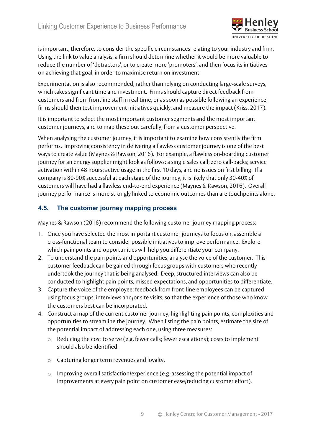

is important, therefore, to consider the specific circumstances relating to your industry and firm. Using the link to value analysis, a firm should determine whether it would be more valuable to reduce the number of 'detractors', or to create more 'promoters', and then focus its initiatives on achieving that goal, in order to maximise return on investment.

Experimentation is also recommended, rather than relying on conducting large-scale surveys, which takes significant time and investment. Firms should capture direct feedback from customers and from frontline staff in real time, or as soon as possible following an experience; firms should then test improvement initiatives quickly, and measure the impact (Kriss, 2017).

It is important to select the most important customer segments and the most important customer journeys, and to map these out carefully, from a customer perspective.

When analysing the customer journey, it is important to examine how consistently the firm performs. Improving consistency in delivering a flawless customer journey is one of the best ways to create value (Maynes & Rawson, 2016). For example, a flawless on-boarding customer journey for an energy supplier might look as follows: a single sales call; zero call-backs; service activation within 48 hours; active usage in the first 10 days, and no issues on first billing. If a company is 80-90% successful at each stage of the journey, it is likely that only 30-40% of customers will have had a flawless end-to-end experience (Maynes & Rawson, 2016). Overall journey performance is more strongly linked to economic outcomes than are touchpoints alone.

#### **4.5. The customer journey mapping process**

Maynes & Rawson (2016) recommend the following customer journey mapping process:

- 1. Once you have selected the most important customer journeys to focus on, assemble a cross-functional team to consider possible initiatives to improve performance. Explore which pain points and opportunities will help you differentiate your company.
- 2. To understand the pain points and opportunities, analyse the voice of the customer. This customer feedback can be gained through focus groups with customers who recently undertook the journey that is being analysed. Deep, structured interviews can also be conducted to highlight pain points, missed expectations, and opportunities to differentiate.
- 3. Capture the voice of the employee: feedback from front-line employees can be captured using focus groups, interviews and/or site visits, so that the experience of those who know the customers best can be incorporated.
- 4. Construct a map of the current customer journey, highlighting pain points, complexities and opportunities to streamline the journey. When listing the pain points, estimate the size of the potential impact of addressing each one, using three measures:
	- o Reducing the cost to serve (e.g. fewer calls; fewer escalations); costs to implement should also be identified.
	- o Capturing longer term revenues and loyalty.
	- o Improving overall satisfaction/experience (e.g. assessing the potential impact of improvements at every pain point on customer ease/reducing customer effort).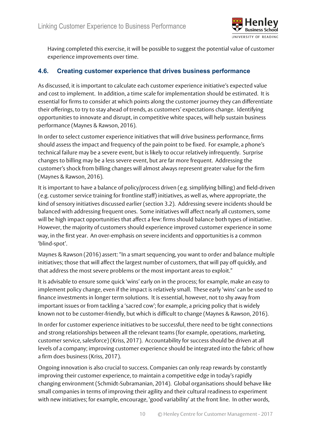

Having completed this exercise, it will be possible to suggest the potential value of customer experience improvements over time.

#### **4.6. Creating customer experience that drives business performance**

As discussed, it is important to calculate each customer experience initiative's expected value and cost to implement. In addition, a time scale for implementation should be estimated. It is essential for firms to consider at which points along the customer journey they can differentiate their offerings, to try to stay ahead of trends, as customers' expectations change. Identifying opportunities to innovate and disrupt, in competitive white spaces, will help sustain business performance (Maynes & Rawson, 2016).

In order to select customer experience initiatives that will drive business performance, firms should assess the impact and frequency of the pain point to be fixed. For example, a phone's technical failure may be a severe event, but is likely to occur relatively infrequently. Surprise changes to billing may be a less severe event, but are far more frequent. Addressing the customer's shock from billing changes will almost always represent greater value for the firm (Maynes & Rawson, 2016).

It is important to have a balance of policy/process driven (e.g. simplifying billing) and field-driven (e.g. customer service training for frontline staff) initiatives, as well as, where appropriate, the kind of sensory initiatives discussed earlier (section 3.2). Addressing severe incidents should be balanced with addressing frequent ones. Some initiatives will affect nearly all customers, some will be high impact opportunities that affect a few: firms should balance both types of initiative. However, the majority of customers should experience improved customer experience in some way, in the first year. An over-emphasis on severe incidents and opportunities is a common 'blind-spot'.

Maynes & Rawson (2016) assert: "In a smart sequencing, you want to order and balance multiple initiatives; those that will affect the largest number of customers, that will pay off quickly, and that address the most severe problems or the most important areas to exploit."

It is advisable to ensure some quick 'wins' early on in the process; for example, make an easy to implement policy change, even if the impact is relatively small. These early 'wins' can be used to finance investments in longer term solutions. It is essential, however, not to shy away from important issues or from tackling a 'sacred cow'; for example, a pricing policy that is widely known not to be customer-friendly, but which is difficult to change (Maynes & Rawson, 2016).

In order for customer experience initiatives to be successful, there need to be tight connections and strong relationships between all the relevant teams (for example, operations, marketing, customer service, salesforce) (Kriss, 2017). Accountability for success should be driven at all levels of a company; improving customer experience should be integrated into the fabric of how a firm does business (Kriss, 2017).

Ongoing innovation is also crucial to success. Companies can only reap rewards by constantly improving their customer experience, to maintain a competitive edge in today's rapidly changing environment (Schmidt-Subramanian, 2014). Global organisations should behave like small companies in terms of improving their agility and their cultural readiness to experiment with new initiatives; for example, encourage, 'good variability' at the front line. In other words,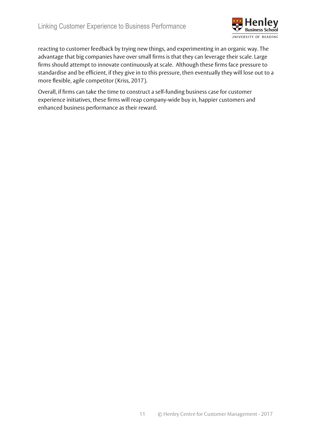

reacting to customer feedback by trying new things, and experimenting in an organic way. The advantage that big companies have over small firms is that they can leverage their scale. Large firms should attempt to innovate continuously at scale. Although these firms face pressure to standardise and be efficient, if they give in to this pressure, then eventually they will lose out to a more flexible, agile competitor (Kriss, 2017).

Overall, if firms can take the time to construct a self-funding business case for customer experience initiatives, these firms will reap company-wide buy in, happier customers and enhanced business performance as their reward.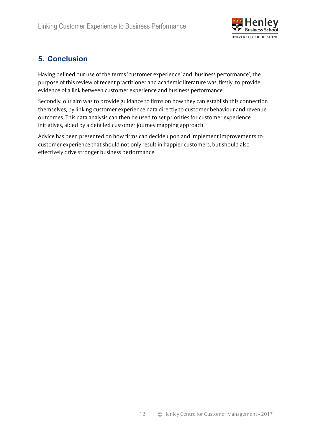

## **5. Conclusion**

Having defined our use of the terms 'customer experience' and 'business performance', the purpose of this review of recent practitioner and academic literature was, firstly, to provide evidence of a link between customer experience and business performance.

Secondly, our aim was to provide guidance to firms on how they can establish this connection themselves, by linking customer experience data directly to customer behaviour and revenue outcomes. This data analysis can then be used to set priorities for customer experience initiatives, aided by a detailed customer journey mapping approach.

Advice has been presented on how firms can decide upon and implement improvements to customer experience that should not only result in happier customers, but should also effectively drive stronger business performance.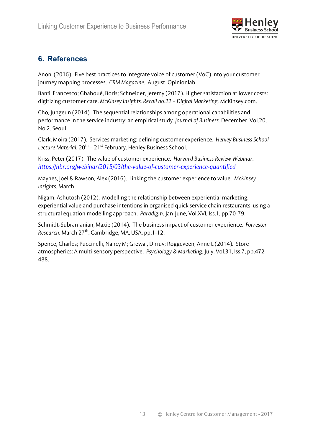

### **6. References**

Anon. (2016). Five best practices to integrate voice of customer (VoC) into your customer journey mapping processes. *CRM Magazine.* August. Opinionlab.

Banfi, Francesco; Gbahoué, Boris; Schneider, Jeremy (2017). Higher satisfaction at lower costs: digitizing customer care. *McKinsey Insights, Recall no.22 – Digital Marketing.* McKinsey.com.

Cho, Jungeun (2014). The sequential relationships among operational capabilities and performance in the service industry: an empirical study. *Journal of Business.* December. Vol.20, No.2. Seoul.

Clark, Moira (2017). Services marketing: defining customer experience. *Henley Business School*  Lecture Material. 20<sup>th</sup> – 21<sup>st</sup> February. Henley Business School.

Kriss, Peter (2017). The value of customer experience. *Harvard Business Review Webinar. https://hbr.org/webinar/2015/03/the-value-of-customer-experience-quantified*

Maynes, Joel & Rawson, Alex (2016). Linking the customer experience to value. *McKinsey Insights.* March.

Nigam, Ashutosh (2012). Modelling the relationship between experiential marketing, experiential value and purchase intentions in organised quick service chain restaurants, using a structural equation modelling approach. *Paradigm.* Jan-June, Vol.XVI, Iss.1, pp.70-79.

Schmidt-Subramanian, Maxie (2014). The business impact of customer experience. *Forrester Research.* March 27th. Cambridge, MA, USA, pp.1-12.

Spence, Charles; Puccinelli, Nancy M; Grewal, Dhruv; Roggeveen, Anne L (2014). Store atmospherics: A multi-sensory perspective. *Psychology & Marketing.* July. Vol.31, Iss.7, pp.472- 488.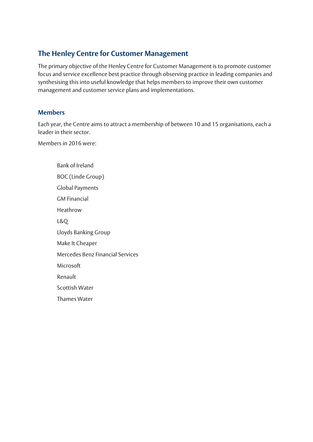## **The Henley Centre for Customer Management**

The primary objective of the Henley Centre for Customer Management is to promote customer focus and service excellence best practice through observing practice in leading companies and synthesising this into useful knowledge that helps members to improve their own customer management and customer service plans and implementations.

#### **Members**

Each year, the Centre aims to attract a membership of between 10 and 15 organisations, each a leader in their sector.

Members in 2016 were:

Bank of Ireland BOC (Linde Group) Global Payments GM Financial Heathrow L&Q Lloyds Banking Group Make It Cheaper Mercedes Benz Financial Services Microsoft Renault Scottish Water Thames Water